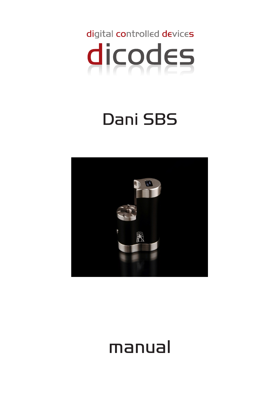

# Dani SBS



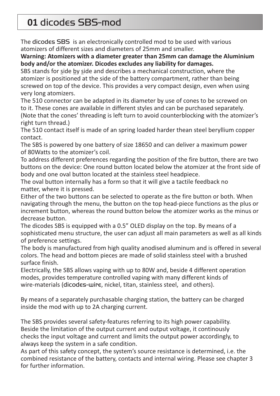# **01** dicodes SBS-mod

The dicodes SBS is an electronically controlled mod to be used with various atomizers of different sizes and diameters of 25mm and smaller.

#### **Warning: Atomizers with a diameter greater than 25mm can damage the Aluminium body and/or the atomizer. Dicodes excludes any liability for damages.**

SBS stands for side by side and describes a mechanical construction, where the atomizer is positioned at the side of the battery compartment, rather than being screwed on top of the device. This provides a very compact design, even when using very long atomizers.

The 510 connector can be adapted in its diameter by use of cones to be screwed on to it. These cones are available in different styles and can be purchased separately. (Note that the cones' threading is left turn to avoid counterblocking with the atomizer's right turn thread.)

The 510 contact itself is made of an spring loaded harder thean steel beryllium copper contact.

The SBS is powered by one battery of size 18650 and can deliver a maximum power of 80Watts to the atomizer's coil.

To address different preferences regarding the position of the fire button, there are two buttons on the device: One round button located below the atomizer at the front side of body and one oval button located at the stainless steel headpiece.

The oval button internally has a form so that it will give a tactile feedback no matter, where it is pressed.

Either of the two buttons can be selected to operate as the fire button or both. When navigating through the menu, the button on the top head-piece functions as the plus or increment button, whereas the round button below the atomizer works as the minus or decrease button.

The dicodes SBS is equipped with a 0.5" OLED display on the top. By means of a sophisticated menu structure, the user can adjust all main parameters as well as all kinds of preference settings.

The body is manufactured from high quality anodised aluminum and is offered in several colors. The head and bottom pieces are made of solid stainless steel with a brushed surface finish.

Electrically, the SBS allows vaping with up to 80W and, beside 4 different operation modes, provides temperature controlled vaping with many different kinds of wire-materials (dicodes-wire, nickel, titan, stainless steel, and others).

By means of a separately purchasable charging station, the battery can be charged inside the mod with up to 2A charging current.

The SBS provides several safety-features referring to its high power capability. Beside the limitation of the output current and output voltage, it continously checks the input voltage and current and limits the output power accordingly, to always keep the system in a safe condition.

As part of this safety concept, the system's source resistance is determined, i.e. the combined resistance of the battery, contacts and internal wiring. Please see chapter 3 for further information.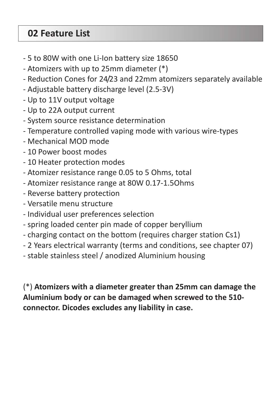# **02 Feature List**

- 5 to 80W with one Li-Ion battery size 18650
- Atomizers with up to 25mm diameter (\*)
- Reduction Cones for 24/23 and 22mm atomizers separately available
- Adjustable battery discharge level (2.5-3V)
- Up to 11V output voltage
- Up to 22A output current
- System source resistance determination
- Temperature controlled vaping mode with various wire-types
- Mechanical MOD mode
- 10 Power boost modes
- 10 Heater protection modes
- Atomizer resistance range 0.05 to 5 Ohms, total
- Atomizer resistance range at 80W 0.17-1.5Ohms
- Reverse battery protection
- Versatile menu structure
- Individual user preferences selection
- spring loaded center pin made of copper beryllium
- charging contact on the bottom (requires charger station Cs1)
- 2 Years electrical warranty (terms and conditions, see chapter 07)
- stable stainless steel / anodized Aluminium housing

(\*) **Atomizers with a diameter greater than 25mm can damage the Aluminium body or can be damaged when screwed to the 510 connector. Dicodes excludes any liability in case.**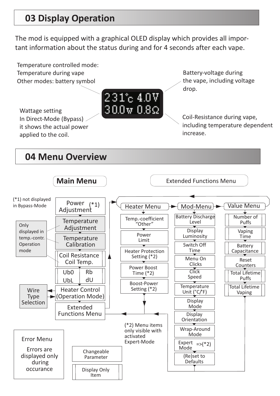# **03 Display Operation**

The mod is equipped with a graphical OLED display which provides all important information about the status during and for 4 seconds after each vape.

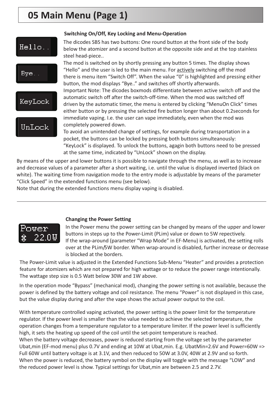# **05 Main Menu (Page 1)**



#### **Switching On/Off, Key Locking and Menu-Operation**

The dicodes SBS has two buttons: One round button at the front side of the body below the atomizer and a second button at the opposite side and at the top stainless steel head-piece..

The mod is switched on by shortly pressing any button 5 times. The display shows "Hello" and the user is led to the main menu. For actively switching off the mod there is menu item "Switch Off". When the value "0" is highlighted and pressing either button, the mod displays "Bye.." and switches off shortly afterwards.

Important Note: The dicodes boxmods differentiate between active switch off and the automatic switch off after the switch-off-time. When the mod was switched off driven by the automatic timer, the menu is entered by clicking "MenuOn Click" times either button or by pressing the selected fire button longer than about 0.2seconds for immediate vaping. I.e. the user can vape immediately, even when the mod was completely powered down.

To avoid an unintended change of settings, for example during transportation in a pocket, the buttons can be locked by pressing both buttons simulteanously: "KeyLock" is displayed. To unlock the buttons, agagin both buttons need to be pressed at the same time, indicated by "UnLock" shown on the display.

By means of the upper and lower buttons it is possible to navigate through the menu, as well as to increase and decrease values of a parameter after a short waiting, i.e. until the value is displayed inverted (black on white). The waiting time from navigation mode to the entry mode is adjustable by means of the parameter "Click Speed" in the extended functions menu (see below).

Note that during the extended functions menu display vaping is disabled.



#### **Changing the Power Setting**

In the Power menu the power setting can be changed by means of the upper and lower buttons in steps up to the Power-Limit (PLim) value or down to 5W repectively. If the wrap-around (parameter "Wrap Mode" in EF-Menu) is activated, the setting rolls over at the PLim/5W border. When wrap-around is disabled, further increase or decrease is blocked at the borders.

The Power-Limit value is adjusted in the Extended Functions Sub-Menu "Heater" and provides a protection feature for atomizers which are not prepared for high wattage or to reduce the power range intentionally. The wattage step size is 0.5 Watt below 30W and 1W above.

In the operation mode "Bypass" (mechanical mod), changing the power setting is not available, because the power is defined by the battery voltage and coil resistance. The menu "Power" is not displayed in this case, but the value display during and after the vape shows the actual power output to the coil.

With temperature controlled vaping activated, the power setting is the power limit for the temperature regulator. If the power level is smaller than the value needed to achieve the selected temperature, the operation changes from a temperature regulator to a temperature limiter. If the power level is sufficiently high, it sets the heating up speed of the coil until the set-point temperature is reached. When the battery voltage decreases, power is reduced starting from the voltage set by the parameter Ubat,min (EF-mod menu) plus 0.7V and ending at 10W at Ubat,min. E.g. UbatMin=2.6V and Power=60W => Full 60W until battery voltage is at 3.1V, and then reduced to 50W at 3.0V, 40W at 2.9V and so forth. When the power is reduced, the battery symbol on the display will toggle with the message "LOW" and the reduced power level is show. Typical settings for Ubat,min are between 2.5 and 2.7V.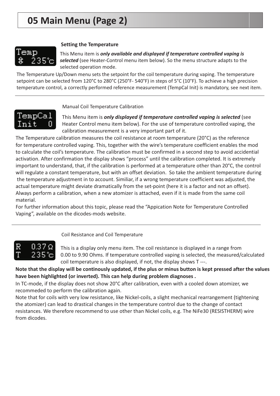### emp 235°c

#### **Setting the Temperature**

This Menu item is *only available and displayed if temperature controlled vaping is* selected (see Heater-Control menu item below). So the menu structure adapts to the selected operation mode.

The Temperature Up/Down menu sets the setpoint for the coil temperature during vaping. The temperature setpoint can be selected from 120°C to 280°C (250°F- 540°F) in steps of 5°C (10°F). To achieve a high precision temperature control, a correctly performed reference measurement (TempCal Init) is mandatory, see next item.



Manual Coil Temperature Calibration

This Menu item is *only displayed if temperature controlled vaping is selected* (see Heater Control menu item below). For the use of temperature controlled vaping, the calibration measurement is a very important part of it.

The Temperature calibration measures the coil resistance at room temperature (20°C) as the reference for temperature controlled vaping. This, together with the wire's temperature coefficient enables the mod to calculate the coil's temperature. The calibration must be confirmed in a second step to avoid accidential activation. After confirmation the display shows "process" until the calibration completed. It is extremely important to understand, that, if the calibration is performed at a temperature other than 20°C, the control will regulate a constant temperature, but with an offset deviation. So take the ambient temperature during the temperature adjustment in to account. Similiar, if a wrong temperature coefficient was adjusted, the actual temperature might deviate dramatically from the set-point (here it is a factor and not an offset). Always perform a calibration, when a new atomizer is attached, even if it is made from the same coil material.

For further information about this topic, please read the "Appication Note for Temperature Controlled Vaping", available on the dicodes-mods website.

#### Coil Resistance and Coil Temperature



This is a display only menu item. The coil resistance is displayed in a range from 0.00 to 9.90 Ohms. If temperature controlled vaping is selected, the measured/calculated coil temperature is also displayed, if not, the display shows T ---.

#### **Note that the display will be continously updated, if the plus or minus button is kept pressed after the values have been highlighted (or inverted). This can help during problem diagnoses .**

In TC-mode, if the display does not show 20°C after calibration, even with a cooled down atomizer, we recommeded to perform the calibration again.

Note that for coils with very low resistance, like Nickel-coils, a slight mechanical rearrangement (tightening the atomizer) can lead to drastical changes in the temperature control due to the change of contact resistances. We therefore recommend to use other than Nickel coils, e.g. The NiFe30 (RESISTHERM) wire from dicodes.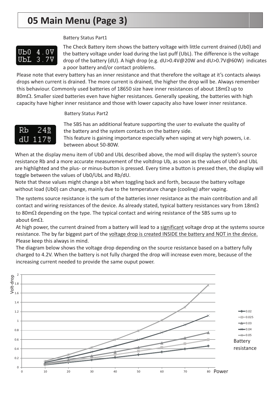# **05 Main Menu (Page 3)**

#### Battery Status Part1



The Check Battery item shows the battery voltage with little current drained (Ub0) and the battery voltage under load during the last puff (UbL). The difference is the voltage drop of the battery (dU). A high drop (e.g. dU>0.4V@20W and dU>0.7V@60W) indicates a poor battery and/or contact problems.

Please note that every battery has an inner resistance and that therefore the voltage at it's contacts always drops when current is drained. The more current is drained, the higher the drop will be. Always remember this behaviour. Commonly used batteries of 18650 size have inner resistances of about 18m $\Omega$  up to  $80$ m $\Omega$ . Smaller sized batteries even have higher resistances. Generally speaking, the batteries with high capacity have higher inner resistance and those with lower capacity also have lower inner resistance.

#### Battery Status Part2



The SBS has an additional feature supporting the user to evaluate the quality of the battery and the system contacts on the battery side.

This feature is gaining importance especially when vaping at very high powers, i.e. between about 50-80W.

When at the display menu item of Ub0 and UbL described above, the mod will display the system's source resistance Rb and a more accurate measurement of the voltdrop Ub, as soon as the values of Ub0 and UbL are highlighted and the plus- or minus-button is pressed. Every time a button is pressed then, the display will toggle between the values of Ub0/UbL and Rb/dU.

Note that these values might change a bit when toggling back and forth, because the battery voltage without load (Ub0) can change, mainly due to the temperature change (cooling) after vaping.

The systems source resistance is the sum of the batteries inner resistance as the main contribution and all contact and wiring resistances of the device. As already stated, typical battery resistances vary from  $18$ m $\Omega$ to 80m $\Omega$  depending on the type. The typical contact and wiring resistance of the SBS sums up to about  $6m\Omega$ .

At high power, the current drained from a battery will lead to a significant voltage drop at the systems source resistance. The by far biggest part of the voltage drop is created INSIDE the battery and NOT in the device. Please keep this always in mind.

The diagram below shows the voltage drop depending on the source resistance based on a battery fully charged to 4.2V. When the battery is not fully charged the drop will increase even more, because of the increasing current needed to provide the same ouput power.

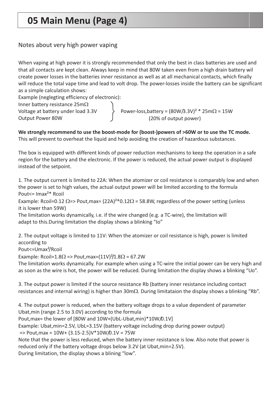# **05 Main Menu (Page 4)**

#### Notes about very high power vaping

When vaping at high power it is strongly recommended that only the best in class batteries are used and that all contacts are kept clean. Always keep in mind that 80W taken even from a high drain battery wil create power losses in the batteries inner resistance as well as at all mechanical contacts, which finally will reduce the total vape time and lead to volt drop. The power-losses inside the battery can be significant as a simple calculation shows:

Example (neglegting efficiency of electronic):

Inner battery resistance 25m $\Omega$ 

Voltage at battery under load 3.3V Output Power 80W

```
Power-loss, battery = (80W/3.3V)^2 * 25m\Omega = 15W(20% of output power)
```
#### This will prevent to overheat the liquid and help avoiding the creation of hazardous substances. **We strongly recommend to use the boost-mode for (boost-)powers of >60W or to use the TC mode.**

The box is equipped with different kinds of power reduction mechanisms to keep the operation in a safe region for the battery and the electronic. If the power is reduced, the actual power output is displayed instead of the setpoint.

1. The output current is limited to 22A: When the atomizer or coil resistance is comparably low and when the power is set to high values, the actual output power will be limited according to the formula Pout<= Imax²\* Rcoil

Example: Rcoil=0.12  $\Omega$ => Pout,max= (22A)<sup>2\*</sup>0.12 $\Omega$  = 58.8W, regardless of the power setting (unless it is lower than 59W)

The limitation works dynamically, i.e. if the wire changed (e.g. a TC-wire), the limitation will adapt to this.During limitation the display shows a blinking "Io"

2. The output voltage is limited to 11V: When the atomizer or coil resistance is high, power is limited according to

Pout<=Umax²/Rcoil

Example: Rcoil=1.8 $\Omega$  => Pout,max=(11V)<sup>2</sup>/1.8 $\Omega$  = 67.2W

The limitation works dynamically. For example when using a TC-wire the initial power can be very high and as soon as the wire is hot, the power will be reduced. During limitation the display shows a blinking "Uo".

3. The output power is limited if the source resistance Rb (battery inner resistance including contact resistances and internal wiring) is higher than  $30 \text{m}\Omega$ . During limitataion the display shows a blinking "Rb".

4. The output power is reduced, when the battery voltage drops to a value dependent of parameter Ubat,min (range 2.5 to 3.0V) according to the formula Pout,max= the lower of [80W and 10W+(UbL-Ubat,min)\*10W/0.1V] Example: Ubat,min=2.5V, UbL=3.15V (battery voltage including drop during power output) => Pout,max = 10W+ (3.15-2.5)V\*10W/0.1V = 75W Note that the power is less reduced, when the battery inner resistance is low. Also note that power is reduced only if the battery voltage drops below 3.2V (at Ubat,min=2.5V). During limitation, the display shows a blining "low".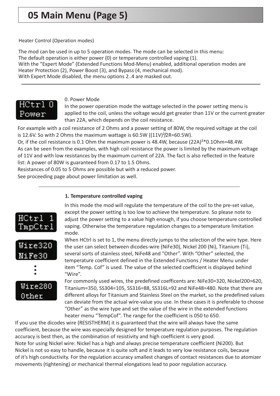Heater Control (Operation modes)

The mod can be used in up to 5 operation modes. The mode can be selected in this menu: The default operation is either power (0) or temperature controlled vaping (1). With the "Expert Mode" (Extended Functions Mod-Menu) enabled, additional operation modes are Heater Protection (2), Power Boost (3), and Bypass (4, mechanical mod). With Expert Mode disabled, the menu options 2..4 are masked out.



0. Power Mode

In the power operation mode the wattage selected in the power setting menu is applied to the coil, unless the voltage would get greater than 11V or the current greater than 22A, which depends on the coil resistance.

For example with a coil resistance of 2 Ohms and a power setting of 80W, the required voltage at the coil is 12.6V. So with 2 Ohms the maximum wattage is  $60.5W$  ((11V) $^{2}/2R=60.5W$ ).

Or, if the coil resistance is 0.1 Ohm the maximum power is 48.4W, because  $(22A)^{2*}0.10$ hm=48.4W. As can be seen from the examples, with high coil resistance the power is limited by the maximum voltage of 11V and with low resistances by the maximum current of 22A. The fact is also reflected in the feature list: A power of 80W is guaranteed from 0.17 to 1.5 Ohms.

Resistances of 0.05 to 5 Ohms are possible but with a reduced power.

See proceeding page about power limitation as well.

#### **1. Temperature controlled vaping**



In this mode the mod will regulate the temperature of the coil to the pre-set value, except the power setting is too low to achieve the temperature. So please note to adjust the power setting to a value high enough, if you choose temperature controlled vaping. Otherwise the temperature regulation changes to a temperature limitation mode.

When HCtrl is set to 1, the menu directly jumps to the selection of the wire type. Here the user can select between dicodes-wire (NiFe30), Nickel 200 (Ni), Titanium (Ti), several sorts of stainless steel, NiFe48 and "Other". With "Other" selected, the temperature coefficient defined in the Extended Functions / Heater Menu under item "Temp. Cof" is used. The value of the selected coefficient is displayed behind "Wire".

For commonly used wires, the predefined coefficents are: NiFe30=320, Nickel200=620, Titanium=350, SS304=105, SS316=88, SS316L=92 and NiFe48=480. Note that there are different alloys for Titanium and Stainless Steel on the market, so the predefined values can deviate from the actual wire-value you use. In these cases it is preferable to choose "Other" as the wire type and set the value of the wire in the extended functions heater menu "TempCof". The range for the coefficient is 050 to 650.

If you use the dicodes wire (RESISTHERM) it is guaranteed that the wire will always have the same coefficient, because the wire was especially designed for temperature regulation purposes. The regulation accuracy is best then, as the combination of resistivity and high coefficient is very good. Note for using Nickel wire: Nickel has a high and always precise temperature coefficient (Ni200). But Nickel is not so easy to handle, because it is quite soft and it leads to very low resistance coils, because of it's high conductivity. For the regulation accuracy smallest changes of contact resistances due to atomizer movements (tightening) or mechanical thermal elongations lead to poor regulation accuracy.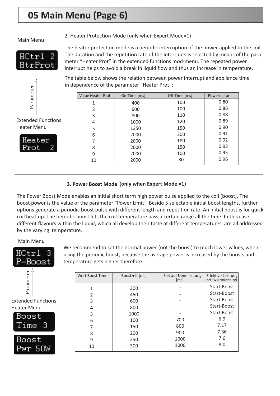# **05 Main Menu (Page 6)**

#### Main Menu

2. Heater Protection Mode (only when Expert Mode=1)



The heater protection mode is a periodic interruption of the power applied to the coil. The duration and the repetition rate of the interrupts is selected by means of the parameter "Heater Prot" in the extended functions mod-menu. The repeated power interrupt helps to avoid a break in liquid flow and thus an increase in temperature.

0.86 0.88 0.89 0.90 0.91 0.92 0.93 0.95 0.96



Extended Functions کاها<br>المعرفي<br>Extended Fur<br>Heater Menu



| The table below shows the relation between power interrupt and appliance time |                          |              |               |             |  |  |
|-------------------------------------------------------------------------------|--------------------------|--------------|---------------|-------------|--|--|
| in dependence of the parameter "Heater Prot":                                 |                          |              |               |             |  |  |
|                                                                               |                          |              |               |             |  |  |
|                                                                               | <b>Value Heater Prot</b> | On-Time [ms] | Off-Time [ms] | Powerfactor |  |  |
|                                                                               |                          | 400          | 100           | 0.80        |  |  |

#### **3. Power Boost Mode (only when Expert Mode =1)**

The Power Boost Mode enables an initial short term high power pulse applied to the coil (boost). The boost power is the value of the parameter "Power Limit". Beside 5 selectable initial boost lengths, further options generate a periodic boost pulse with different length and repetition rate. An initial boost is for quick coil heat-up. The periodic boost lets the coil temperature pass a certain range all the time. In this case different flavours within the liquid, which all develop their taste at different temperatures, are all addressed by the varying temperature.

#### Main Menu



We recommend to set the normal power (not the boost) to much lower values, when using the periodic boost, because the average power is increased by the boosts and temperature gets higher therefore.



| Wert Boost Time | Boostzeit [ms] | Zeit auf Nennleistung<br>$\lceil ms \rceil$ | <b>Effektive Leistung</b><br>(bei 5W Nennleistung) |
|-----------------|----------------|---------------------------------------------|----------------------------------------------------|
|                 | 300            |                                             | Start-Boost                                        |
| 2               | 450            |                                             | Start-Boost                                        |
| 3               | 600            |                                             | Start-Boost                                        |
| 4               | 800            |                                             | Start-Boost                                        |
| 5               | 1000           |                                             | Start-Boost                                        |
| 6               | 100            | 700                                         | 6.9                                                |
| 7               | 150            | 800                                         | 7.17                                               |
| 8               | 200            | 900                                         | 7.36                                               |
| 9               | 250            | 1000                                        | 7.6                                                |
| 10              | 300            | 1000                                        | 8.0                                                |
|                 |                |                                             |                                                    |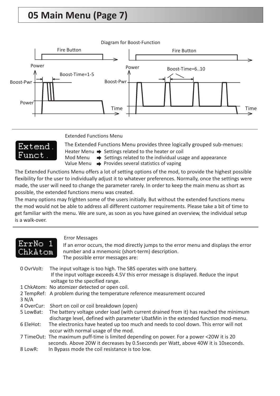# **05 Main Menu (Page 7)**



Extended Functions Menu

The Extended Functions Menu provides three logically grouped sub-menues:

Extend 'unct'

Heater Menu  $\Rightarrow$  Settings related to the heater or coil

Mod Menu  $\Rightarrow$  Settings related to the individual usage and appearance

Value Menu  $\rightarrow$  Provides several statistics of vaping

The Extended Functions Menu offers a lot of setting options of the mod, to provide the highest possible flexibility for the user to individually adjust it to whatever preferences. Normally, once the settings were made, the user will need to change the parameter rarely. In order to keep the main menu as short as possible, the extended functions menu was created.

The many options may frighten some of the users initially. But without the extended functions menu the mod would not be able to address all different customer requirements. Please take a bit of time to get familiar with the menu. We are sure, as soon as you have gained an overview, the individual setup is a walk-over.

| ErrNo 1<br><u>Chkatom,</u> | <b>Error Messages</b><br>If an error occurs, the mod directly jumps to the error menu and displays the error<br>number and a mnemonic (short-term) description.<br>The possible error messages are: |
|----------------------------|-----------------------------------------------------------------------------------------------------------------------------------------------------------------------------------------------------|
| 0 OvrVolt:                 | The input voltage is too high. The SBS operates with one battery.<br>If the input voltage exceeds 4.5V this error message is displayed. Reduce the input<br>voltage to the specified range.         |
|                            | 1 ChkAtom: No atomizer detected or open coil.                                                                                                                                                       |
| 3 N/A                      | 2 TempRef: A problem during the temperature reference measurement occured                                                                                                                           |
|                            | 4 OverCur: Short on coil or coil breakdown (open)                                                                                                                                                   |
| 5 LowBat:                  | The battery voltage under load (with current drained from it) has reached the minimum<br>discharge level, defined with parameter UbatMin in the extended function mod-menu.                         |
| 6 EleHot:                  | The electronics have heated up too much and needs to cool down. This error will not<br>occur with normal usage of the mod.                                                                          |
|                            | 7 TimeOut: The maximum puff-time is limited depending on power. For a power <20W it is 20<br>seconds. Above 20W it decreases by 0.5 seconds per Watt, above 40W it is 10 seconds.                   |
|                            |                                                                                                                                                                                                     |

8 LowR: In Bypass mode the coil resistance is too low.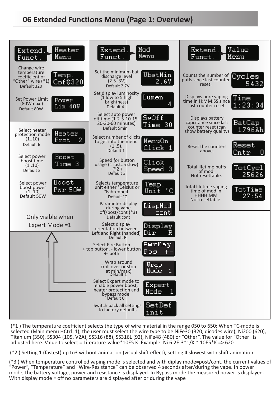

(\*1 ) The temperature coefficient selects the type of wire material in the range 050 to 650: When TC-mode is selected (Main menu HCtrl=1), the user must select the wire type to be NiFe30 (320, dicodes wire), Ni200 (620), Titanium (350), SS304 (105, V2A), SS316 (88), SS316L (92), NiFe48 (480) or "Other". The value for "Other" is adjusted here. Value to select = Literature-value\*10E5 K. Example: Ni 6.2E-3\*1/K \* 10E5\*K => 620

(\*2 ) Setting 1 (fastest) up to3 without animation (visual shift effect), setting 4 slowest with shift animation

(\*3 ) When temperature controlled vaping mode is selected and with diplay mode=post/cont, the current values of "Power", "Temperature" and "Wire-Resistance" can be observed 4 seconds after/during the vape. In power mode, the battery voltage, power and resistance is displayed. In Bypass mode the measured power is displayed. With display mode = off no parameters are displayed after or during the vape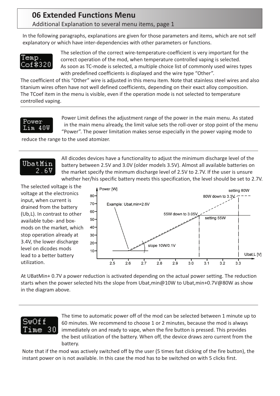### **06 Extended Functions Menu** Additional Explanation to several menu items, page 1

In the following paragraphs, explanations are given for those parameters and items, which are not self explanatory or which have inter-dependencies with other parameters or functions.



The selection of the correct wire-temperature-coefficient is very important for the correct operation of the mod, when temperature controlled vaping is selected. As soon as TC-mode is selected, a multiple choice list of commonly used wires types with predefined coefficients is displayed and the wire type "Other".

The coefficient of this "Other" wire is adjusted in this menu item. Note that stainless steel wires and also titanium wires often have not well defined coefficients, depending on their exact alloy composition. The TCoef item in the menu is visible, even if the operation mode is not selected to temperature controlled vaping.

#### Power Lim 40W

Power Limit defines the adjustment range of the power in the main menu. As stated in the main menu already, the limit value sets the roll-over or stop point of the menu "Power". The power limitation makes sense especially in the power vaping mode to

All dicodes devices have a functionality to adjust the minimum discharge level of the battery between 2.5V and 3.0V (older models 3.5V). Almost all available batteries on the market specify the minmum discharge level of 2.5V to 2.7V. If the user is unsure whether her/his specific battery meets this specification, the level should be set to 2.7V.

reduce the range to the used atomizer.

### **UbatMin** 2.6V

The selected voltage is the voltage at the electronics input, when current is drained from the battery (Ub,L). In contrast to other available tube- and boxmods on the market, which stop operation already at 3.4V, the lower discharge level on dicodes mods lead to a better battery utilization.



At UBatMin+ 0.7V a power reduction is activated depending on the actual power setting. The reduction starts when the power selected hits the slope from Ubat,min@10W to Ubat,min+0.7V@80W as show in the diagram above.

### າັນ Of f 30

The time to automatic power off of the mod can be selected between 1 minute up to 60 minutes. We recommend to choose 1 or 2 minutes, because the mod is always immediately on and ready to vape, when the fire button is pressed. This provides the best utilization of the battery. When off, the device draws zero current from the battery.

Note that if the mod was actively switched off by the user (5 times fast clicking of the fire button), the instant power on is not available. In this case the mod has to be switched on with 5 clicks first.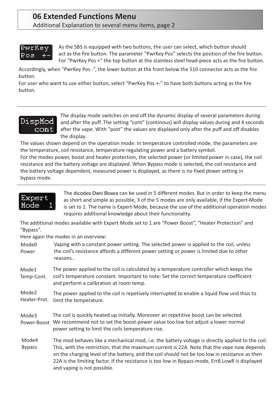# **06 Extended Functions Menu**

Additional Explanation to several menu items, page 2

### PwrKey Роз

As the SBS is equipped with two buttons, the user can select, which button should act as the fire button. The parameter "PwrKey Pos" selects the position of the fire button. For "PwrKey Pos +" the top button at the stainless steel head-piece acts as the fire button.

Accordingly, when "PwrKey Pos -", the lower button at the front below the 510 connector acts as the fire button.

For user who want to use either button, select "PwrKey Pos +-" to have both buttons acting as the fire button.

### DispMod  $\verb|cont|$

The display mode switches on and off the dynamic display of several parameters during and after the puff. The setting "cont" (continous) will display values during and 4 seconds after the vape. With "post" the values are displayed only after the puff and off disables the display.

The values shown depend on the operation mode: In temperature controlled mode, the parameters are the temperature, coil resistance, temperature regulating power and a battery symbol.

For the modes power, boost and heater protection, the selected power (or limited power in case), the coil resistance and the battery voltage are displayed. When Bypass mode is selected, the coil resistance and the battery voltage dependent, measured power is displayed, as there is no fixed power setting in bypass mode.



The dicodes Dani Boxes can be used in 5 different modes. But in order to keep the menu as short and simple as possible, 3 of the 5 modes are only available, if the Expert-Mode is set to 1. The name is Expert-Mode, because the use of the additional operation modes requires additional knowledge about their functionality.

The additional modes available with Expert Mode set to 1 are "Power Boost", "Heater Protection" and "Bypass".

Here again the modes in an overview:

Vaping with a constant power setting. The selected power is applied to the coil, unless the coil's resistance affords a different power setting or power is limited due to other reasons.. Mode0 Power

The power applied to the coil is calculated by a temperature controller which keeps the coil's temperature constant. Important to note: Set the correct temperature coefficient and perform a calibration at room temp. Mode1 Temp-Cont.

The power applied to the coil is repetively interrupted to enable a liquid flow und thus to Heater-Prot. limit the temperature. Mode2

The coil is quickly heated up initially. Moreover an repetitive boost can be selected. Power-Boost We recommend not to set the boost-power value too low but adjust a lower normal power setting to limit the coils temperature rise. Mode3

The mod behaves like a mechanical mod, i.e. the battery voltage is directly applied to the coil. This, with the restriction, that the maximum current is 22A. Note that the vape now depends on the charging level of the battery, and the coil should not be too low in resistance as then 22A is the limiting factor. If the resistance is too low in Bypass-mode, Err8 LowR is displayed and vaping is not possible. Mode4 Bypass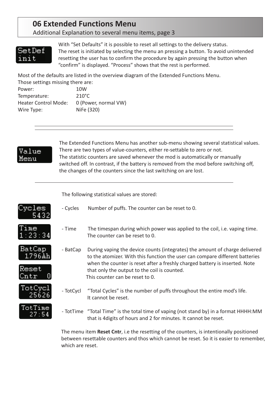### **06 Extended Functions Menu**

Additional Explanation to several menu items, page 3

### SetDef init

With "Set Defaults" it is possible to reset all settings to the delivery status. The reset is initiated by selecting the menu an pressing a button. To avoid unintended resetting the user has to confirm the procedure by again pressing the button when "confirm" is displayed. "Process" shows that the rest is performed.

Most of the defaults are listed in the overview diagram of the Extended Functions Menu.

| Those settings missing there are: |                      |  |  |
|-----------------------------------|----------------------|--|--|
| Power:                            | 10W                  |  |  |
| Temperature:                      | $210^{\circ}$ C      |  |  |
| <b>Heater Control Mode:</b>       | 0 (Power, normal VW) |  |  |
| Wire Type:                        | NiFe (320)           |  |  |
|                                   |                      |  |  |



The Extended Functions Menu has another sub-menu showing several statistical values. There are two types of value-counters, either re-settable to zero or not. The statistic counters are saved whenever the mod is automatically or manually switched off. In contrast, if the battery is removed from the mod before switching off, the changes of the counters since the last switching on are lost.

The following statistical values are stored:

- Cycles Number of puffs. The counter can be reset to 0.

|  |  | ÷ |
|--|--|---|
|  |  |   |



BatCap 1796Ah

Reset

- Time The timespan during which power was applied to the coil, i.e. vaping time. The counter can be reset to 0.

- BatCap During vaping the device counts (integrates) the amount of charge delivered to the atomizer. With this function the user can compare different batteries when the counter is reset after a freshly charged battery is inserted. Note that only the output to the coil is counted. This counter can be reset to 0.



TotTime 27:54

- TotCycl "Total Cycles" is the number of puffs throughout the entire mod's life. It cannot be reset.
- TotTime "Total Time" is the total time of vaping (not stand by) in a format HHHH:MM that is 4digits of hours and 2 for minutes. It cannot be reset.

The menu item Reset Cntr, i.e the resetting of the counters, is intentionally positioned between resettable counters and thos which cannot be reset. So it is easier to remember, which are reset.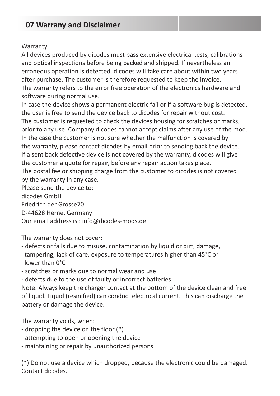### **07 Warrany and Disclaimer**

#### **Warranty**

All devices produced by dicodes must pass extensive electrical tests, calibrations and optical inspections before being packed and shipped. If nevertheless an erroneous operation is detected, dicodes will take care about within two years after purchase. The customer is therefore requested to keep the invoice. The warranty refers to the error free operation of the electronics hardware and software during normal use.

In case the device shows a permanent electric fail or if a software bug is detected, the user is free to send the device back to dicodes for repair without cost. The customer is requested to check the devices housing for scratches or marks, prior to any use. Company dicodes cannot accept claims after any use of the mod. In the case the customer is not sure whether the malfunction is covered by the warranty, please contact dicodes by email prior to sending back the device. If a sent back defective device is not covered by the warranty, dicodes will give the customer a quote for repair, before any repair action takes place. The postal fee or shipping charge from the customer to dicodes is not covered by the warranty in any case. Please send the device to:

dicodes GmbH Friedrich der Grosse70 D-44628 Herne, Germany Our email address is : info@dicodes-mods.de

The warranty does not cover:

- defects or fails due to misuse, contamination by liquid or dirt, damage, tampering, lack of care, exposure to temperatures higher than 45°C or lower than 0°C
- scratches or marks due to normal wear and use

- defects due to the use of faulty or incorrect batteries

Note: Always keep the charger contact at the bottom of the device clean and free of liquid. Liquid (resinified) can conduct electrical current. This can discharge the battery or damage the device.

The warranty voids, when:

- dropping the device on the floor (\*)
- attempting to open or opening the device
- maintaining or repair by unauthorized persons

(\*) Do not use a device which dropped, because the electronic could be damaged. Contact dicodes.